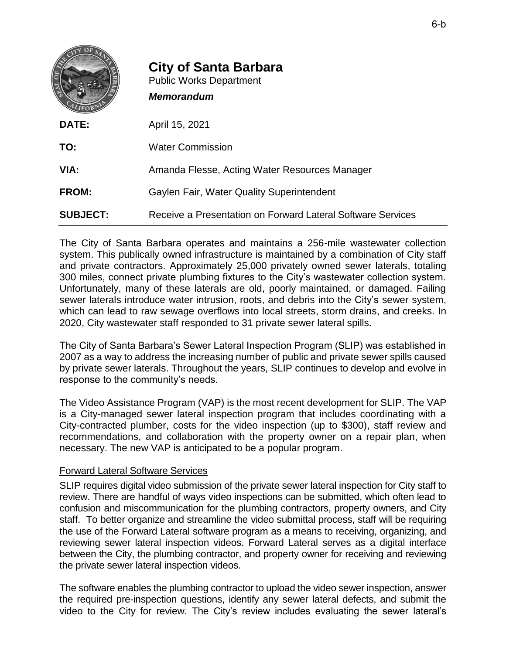|                 | <b>City of Santa Barbara</b><br><b>Public Works Department</b><br><b>Memorandum</b> |
|-----------------|-------------------------------------------------------------------------------------|
| DATE:           | April 15, 2021                                                                      |
| TO:             | <b>Water Commission</b>                                                             |
| VIA:            | Amanda Flesse, Acting Water Resources Manager                                       |
| FROM:           | <b>Gaylen Fair, Water Quality Superintendent</b>                                    |
| <b>SUBJECT:</b> | Receive a Presentation on Forward Lateral Software Services                         |

The City of Santa Barbara operates and maintains a 256-mile wastewater collection system. This publically owned infrastructure is maintained by a combination of City staff and private contractors. Approximately 25,000 privately owned sewer laterals, totaling 300 miles, connect private plumbing fixtures to the City's wastewater collection system. Unfortunately, many of these laterals are old, poorly maintained, or damaged. Failing sewer laterals introduce water intrusion, roots, and debris into the City's sewer system, which can lead to raw sewage overflows into local streets, storm drains, and creeks. In 2020, City wastewater staff responded to 31 private sewer lateral spills.

The City of Santa Barbara's Sewer Lateral Inspection Program (SLIP) was established in 2007 as a way to address the increasing number of public and private sewer spills caused by private sewer laterals. Throughout the years, SLIP continues to develop and evolve in response to the community's needs.

The Video Assistance Program (VAP) is the most recent development for SLIP. The VAP is a City-managed sewer lateral inspection program that includes coordinating with a City-contracted plumber, costs for the video inspection (up to \$300), staff review and recommendations, and collaboration with the property owner on a repair plan, when necessary. The new VAP is anticipated to be a popular program.

## Forward Lateral Software Services

SLIP requires digital video submission of the private sewer lateral inspection for City staff to review. There are handful of ways video inspections can be submitted, which often lead to confusion and miscommunication for the plumbing contractors, property owners, and City staff. To better organize and streamline the video submittal process, staff will be requiring the use of the Forward Lateral software program as a means to receiving, organizing, and reviewing sewer lateral inspection videos. Forward Lateral serves as a digital interface between the City, the plumbing contractor, and property owner for receiving and reviewing the private sewer lateral inspection videos.

The software enables the plumbing contractor to upload the video sewer inspection, answer the required pre-inspection questions, identify any sewer lateral defects, and submit the video to the City for review. The City's review includes evaluating the sewer lateral's